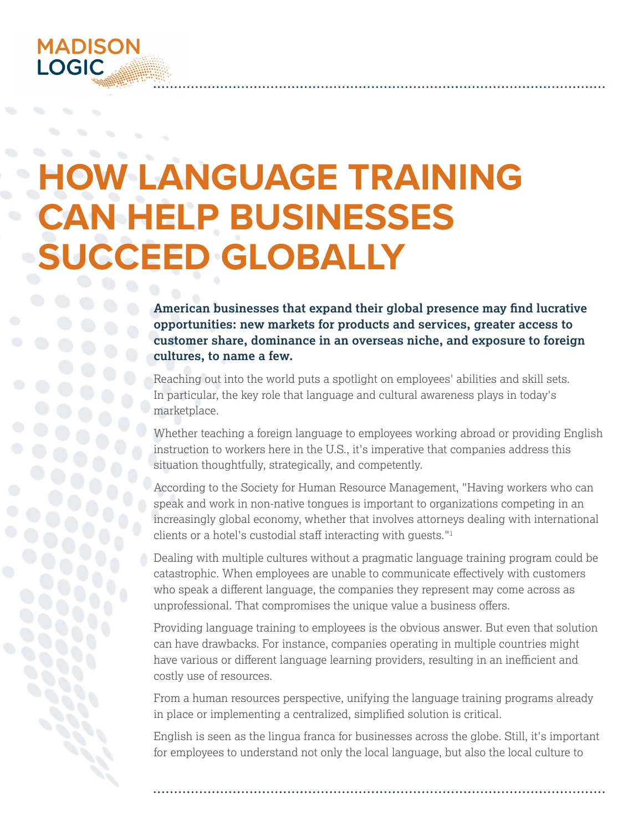# **MADISON LOGIC**

# **W-LANGUAGE TRAINING CAN HELP BUSINESSES SUCCEED GLOBALLY**

**American businesses that expand their global presence may find lucrative opportunities: new markets for products and services, greater access to customer share, dominance in an overseas niche, and exposure to foreign cultures, to name a few.**

Reaching out into the world puts a spotlight on employees' abilities and skill sets. In particular, the key role that language and cultural awareness plays in today's marketplace.

Whether teaching a foreign language to employees working abroad or providing English instruction to workers here in the U.S., it's imperative that companies address this situation thoughtfully, strategically, and competently.

According to the Society for Human Resource Management, "Having workers who can speak and work in non-native tongues is important to organizations competing in an increasingly global economy, whether that involves attorneys dealing with international clients or a hotel's custodial staff interacting with guests."<sup>1</sup>

Dealing with multiple cultures without a pragmatic language training program could be catastrophic. When employees are unable to communicate effectively with customers who speak a different language, the companies they represent may come across as unprofessional. That compromises the unique value a business offers.

Providing language training to employees is the obvious answer. But even that solution can have drawbacks. For instance, companies operating in multiple countries might have various or different language learning providers, resulting in an inefficient and costly use of resources.

From a human resources perspective, unifying the language training programs already in place or implementing a centralized, simplified solution is critical.

English is seen as the lingua franca for businesses across the globe. Still, it's important for employees to understand not only the local language, but also the local culture to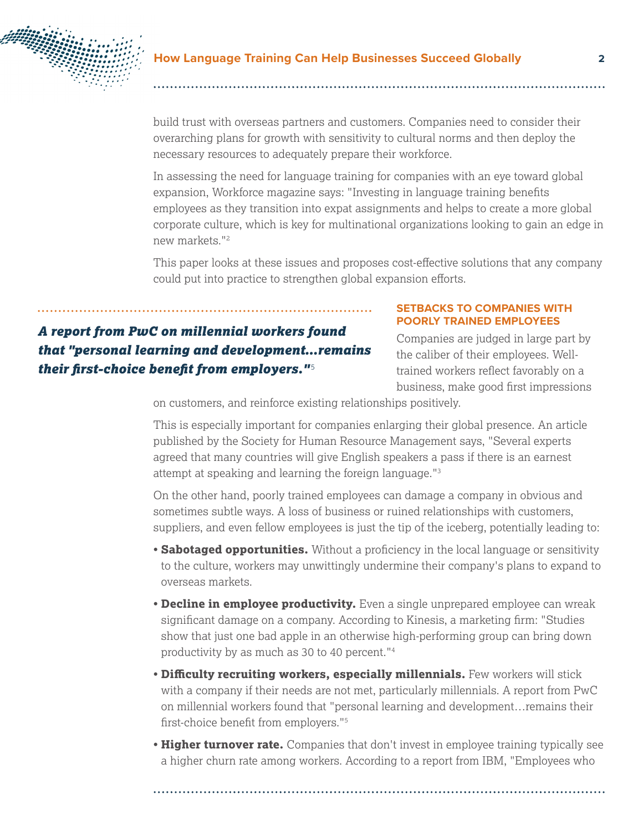

build trust with overseas partners and customers. Companies need to consider their overarching plans for growth with sensitivity to cultural norms and then deploy the necessary resources to adequately prepare their workforce.

In assessing the need for language training for companies with an eye toward global expansion, Workforce magazine says: "Investing in language training benefits employees as they transition into expat assignments and helps to create a more global corporate culture, which is key for multinational organizations looking to gain an edge in new markets."2

This paper looks at these issues and proposes cost-effective solutions that any company could put into practice to strengthen global expansion efforts.

# *A report from PwC on millennial workers found that "personal learning and development…remains their first-choice benefit from employers."* <sup>5</sup>

#### **SETBACKS TO COMPANIES WITH POORLY TRAINED EMPLOYEES**

Companies are judged in large part by the caliber of their employees. Welltrained workers reflect favorably on a business, make good first impressions

on customers, and reinforce existing relationships positively.

This is especially important for companies enlarging their global presence. An article published by the Society for Human Resource Management says, "Several experts agreed that many countries will give English speakers a pass if there is an earnest attempt at speaking and learning the foreign language."3

On the other hand, poorly trained employees can damage a company in obvious and sometimes subtle ways. A loss of business or ruined relationships with customers, suppliers, and even fellow employees is just the tip of the iceberg, potentially leading to:

- **Sabotaged opportunities.** Without a proficiency in the local language or sensitivity to the culture, workers may unwittingly undermine their company's plans to expand to overseas markets.
- **Decline in employee productivity.** Even a single unprepared employee can wreak significant damage on a company. According to Kinesis, a marketing firm: "Studies show that just one bad apple in an otherwise high-performing group can bring down productivity by as much as 30 to 40 percent."4
- **Difficulty recruiting workers, especially millennials.** Few workers will stick with a company if their needs are not met, particularly millennials. A report from PwC on millennial workers found that "personal learning and development…remains their first-choice benefit from employers."<sup>5</sup>
- **Higher turnover rate.** Companies that don't invest in employee training typically see a higher churn rate among workers. According to a report from IBM, "Employees who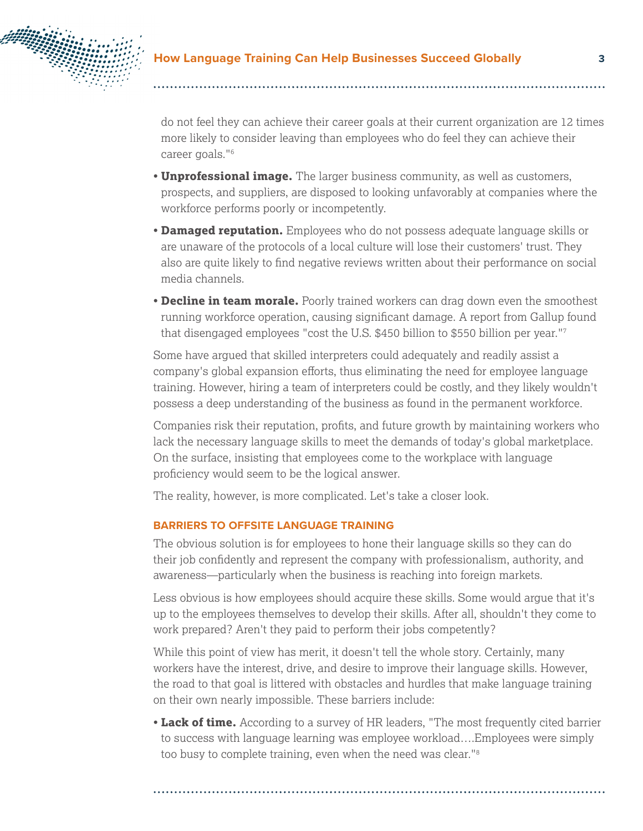

do not feel they can achieve their career goals at their current organization are 12 times more likely to consider leaving than employees who do feel they can achieve their career goals."6

- **Unprofessional image.** The larger business community, as well as customers, prospects, and suppliers, are disposed to looking unfavorably at companies where the workforce performs poorly or incompetently.
- **Damaged reputation.** Employees who do not possess adequate language skills or are unaware of the protocols of a local culture will lose their customers' trust. They also are quite likely to find negative reviews written about their performance on social media channels.
- **Decline in team morale.** Poorly trained workers can drag down even the smoothest running workforce operation, causing significant damage. A report from Gallup found that disengaged employees "cost the U.S. \$450 billion to \$550 billion per year."7

Some have argued that skilled interpreters could adequately and readily assist a company's global expansion efforts, thus eliminating the need for employee language training. However, hiring a team of interpreters could be costly, and they likely wouldn't possess a deep understanding of the business as found in the permanent workforce.

Companies risk their reputation, profits, and future growth by maintaining workers who lack the necessary language skills to meet the demands of today's global marketplace. On the surface, insisting that employees come to the workplace with language proficiency would seem to be the logical answer.

The reality, however, is more complicated. Let's take a closer look.

#### **BARRIERS TO OFFSITE LANGUAGE TRAINING**

The obvious solution is for employees to hone their language skills so they can do their job confidently and represent the company with professionalism, authority, and awareness—particularly when the business is reaching into foreign markets.

Less obvious is how employees should acquire these skills. Some would argue that it's up to the employees themselves to develop their skills. After all, shouldn't they come to work prepared? Aren't they paid to perform their jobs competently?

While this point of view has merit, it doesn't tell the whole story. Certainly, many workers have the interest, drive, and desire to improve their language skills. However, the road to that goal is littered with obstacles and hurdles that make language training on their own nearly impossible. These barriers include:

• **Lack of time.** According to a survey of HR leaders, "The most frequently cited barrier to success with language learning was employee workload….Employees were simply too busy to complete training, even when the need was clear."8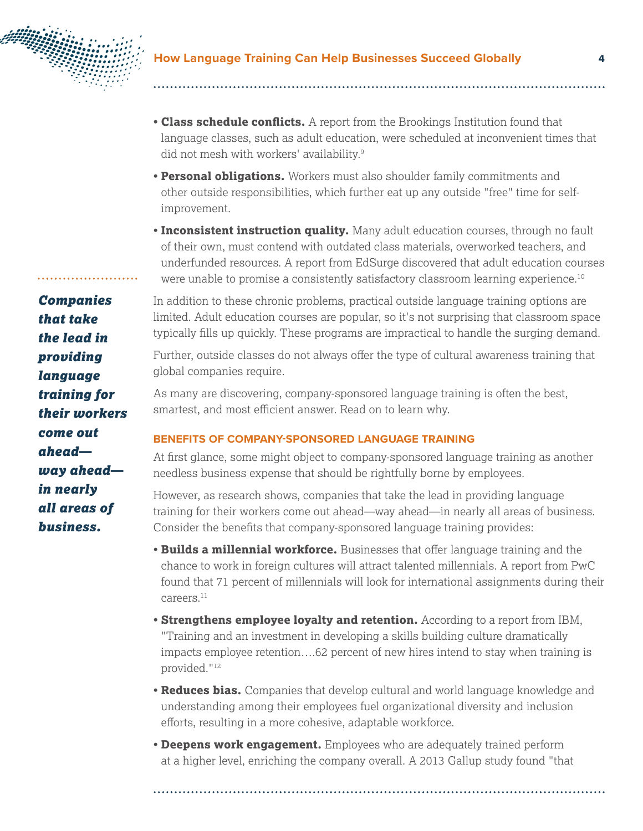

- **Class schedule conflicts.** A report from the Brookings Institution found that language classes, such as adult education, were scheduled at inconvenient times that did not mesh with workers' availability.9
- **Personal obligations.** Workers must also shoulder family commitments and other outside responsibilities, which further eat up any outside "free" time for selfimprovement.
- **Inconsistent instruction quality.** Many adult education courses, through no fault of their own, must contend with outdated class materials, overworked teachers, and underfunded resources. A report from EdSurge discovered that adult education courses were unable to promise a consistently satisfactory classroom learning experience.10

In addition to these chronic problems, practical outside language training options are limited. Adult education courses are popular, so it's not surprising that classroom space typically fills up quickly. These programs are impractical to handle the surging demand.

Further, outside classes do not always offer the type of cultural awareness training that global companies require.

As many are discovering, company-sponsored language training is often the best, smartest, and most efficient answer. Read on to learn why.

# **BENEFITS OF COMPANY-SPONSORED LANGUAGE TRAINING**

At first glance, some might object to company-sponsored language training as another needless business expense that should be rightfully borne by employees.

However, as research shows, companies that take the lead in providing language training for their workers come out ahead—way ahead—in nearly all areas of business. Consider the benefits that company-sponsored language training provides:

- **Builds a millennial workforce.** Businesses that offer language training and the chance to work in foreign cultures will attract talented millennials. A report from PwC found that 71 percent of millennials will look for international assignments during their careers.11
- **Strengthens employee loyalty and retention.** According to a report from IBM, "Training and an investment in developing a skills building culture dramatically impacts employee retention….62 percent of new hires intend to stay when training is provided."12
- **Reduces bias.** Companies that develop cultural and world language knowledge and understanding among their employees fuel organizational diversity and inclusion efforts, resulting in a more cohesive, adaptable workforce.
- **Deepens work engagement.** Employees who are adequately trained perform at a higher level, enriching the company overall. A 2013 Gallup study found "that

*Companies that take the lead in providing language training for their workers come out ahead way ahead in nearly all areas of business.*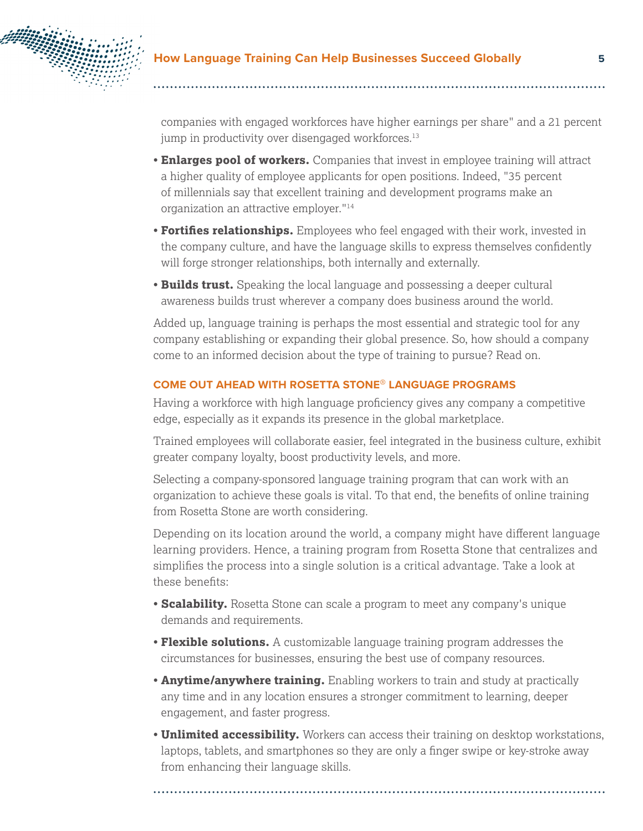

companies with engaged workforces have higher earnings per share" and a 21 percent jump in productivity over disengaged workforces.<sup>13</sup>

- **Enlarges pool of workers.** Companies that invest in employee training will attract a higher quality of employee applicants for open positions. Indeed, "35 percent of millennials say that excellent training and development programs make an organization an attractive employer."14
- **Fortifies relationships.** Employees who feel engaged with their work, invested in the company culture, and have the language skills to express themselves confidently will forge stronger relationships, both internally and externally.
- **Builds trust.** Speaking the local language and possessing a deeper cultural awareness builds trust wherever a company does business around the world.

Added up, language training is perhaps the most essential and strategic tool for any company establishing or expanding their global presence. So, how should a company come to an informed decision about the type of training to pursue? Read on.

## **COME OUT AHEAD WITH ROSETTA STONE**® **LANGUAGE PROGRAMS**

Having a workforce with high language proficiency gives any company a competitive edge, especially as it expands its presence in the global marketplace.

Trained employees will collaborate easier, feel integrated in the business culture, exhibit greater company loyalty, boost productivity levels, and more.

Selecting a company-sponsored language training program that can work with an organization to achieve these goals is vital. To that end, the benefits of online training from Rosetta Stone are worth considering.

Depending on its location around the world, a company might have different language learning providers. Hence, a training program from Rosetta Stone that centralizes and simplifies the process into a single solution is a critical advantage. Take a look at these benefits:

- **Scalability.** Rosetta Stone can scale a program to meet any company's unique demands and requirements.
- **Flexible solutions.** A customizable language training program addresses the circumstances for businesses, ensuring the best use of company resources.
- **Anytime/anywhere training.** Enabling workers to train and study at practically any time and in any location ensures a stronger commitment to learning, deeper engagement, and faster progress.
- **Unlimited accessibility.** Workers can access their training on desktop workstations, laptops, tablets, and smartphones so they are only a finger swipe or key-stroke away from enhancing their language skills.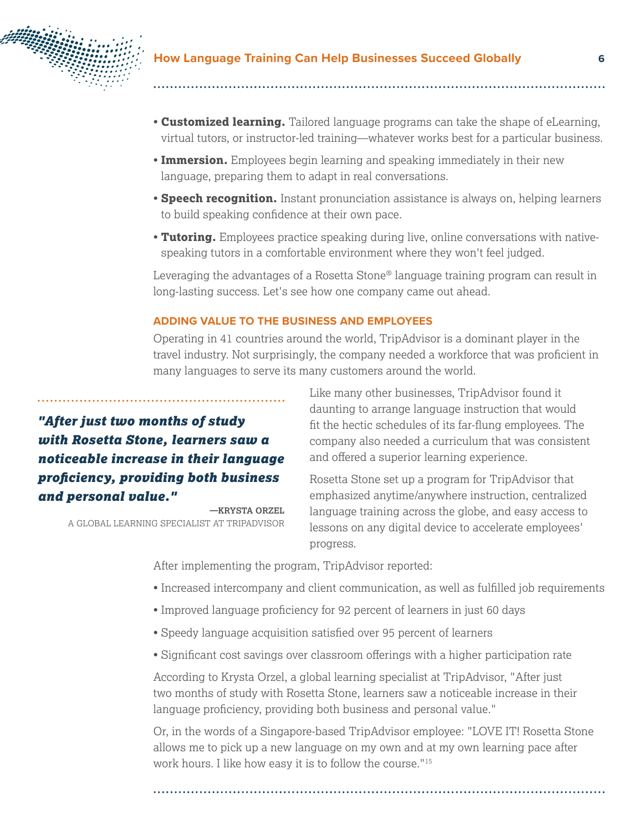

- **Customized learning.** Tailored language programs can take the shape of eLearning, virtual tutors, or instructor-led training—whatever works best for a particular business.
- **Immersion.** Employees begin learning and speaking immediately in their new language, preparing them to adapt in real conversations.
- **Speech recognition.** Instant pronunciation assistance is always on, helping learners to build speaking confidence at their own pace.
- **Tutoring.** Employees practice speaking during live, online conversations with nativespeaking tutors in a comfortable environment where they won't feel judged.

Leveraging the advantages of a Rosetta Stone<sup>®</sup> language training program can result in long-lasting success. Let's see how one company came out ahead.

#### **ADDING VALUE TO THE BUSINESS AND EMPLOYEES**

Operating in 41 countries around the world, TripAdvisor is a dominant player in the travel industry. Not surprisingly, the company needed a workforce that was proficient in many languages to serve its many customers around the world.

# *"After just two months of study with Rosetta Stone, learners saw a noticeable increase in their language proficiency, providing both business and personal value."*

**—KRYSTA ORZEL** A GLOBAL LEARNING SPECIALIST AT TRIPADVISOR Like many other businesses, TripAdvisor found it daunting to arrange language instruction that would fit the hectic schedules of its far-flung employees. The company also needed a curriculum that was consistent and offered a superior learning experience.

Rosetta Stone set up a program for TripAdvisor that emphasized anytime/anywhere instruction, centralized language training across the globe, and easy access to lessons on any digital device to accelerate employees' progress.

After implementing the program, TripAdvisor reported:

- Increased intercompany and client communication, as well as fulfilled job requirements
- Improved language proficiency for 92 percent of learners in just 60 days
- Speedy language acquisition satisfied over 95 percent of learners
- Significant cost savings over classroom offerings with a higher participation rate

According to Krysta Orzel, a global learning specialist at TripAdvisor, "After just two months of study with Rosetta Stone, learners saw a noticeable increase in their language proficiency, providing both business and personal value."

Or, in the words of a Singapore-based TripAdvisor employee: "LOVE IT! Rosetta Stone allows me to pick up a new language on my own and at my own learning pace after work hours. I like how easy it is to follow the course."15